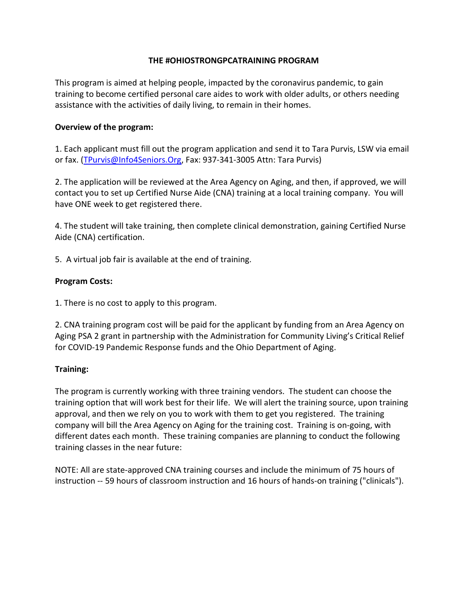# THE #OHIOSTRONGPCATRAINING PROGRAM

This program is aimed at helping people, impacted by the coronavirus pandemic, to gain training to become certified personal care aides to work with older adults, or others needing assistance with the activities of daily living, to remain in their homes.

### Overview of the program:

1. Each applicant must fill out the program application and send it to Tara Purvis, LSW via email or fax. (TPurvis@Info4Seniors.Org, Fax: 937-341-3005 Attn: Tara Purvis)

2. The application will be reviewed at the Area Agency on Aging, and then, if approved, we will contact you to set up Certified Nurse Aide (CNA) training at a local training company. You will have ONE week to get registered there.

4. The student will take training, then complete clinical demonstration, gaining Certified Nurse Aide (CNA) certification.

5. A virtual job fair is available at the end of training.

# Program Costs:

1. There is no cost to apply to this program.

2. CNA training program cost will be paid for the applicant by funding from an Area Agency on Aging PSA 2 grant in partnership with the Administration for Community Living's Critical Relief for COVID-19 Pandemic Response funds and the Ohio Department of Aging.

### Training:

The program is currently working with three training vendors. The student can choose the training option that will work best for their life. We will alert the training source, upon training approval, and then we rely on you to work with them to get you registered. The training company will bill the Area Agency on Aging for the training cost. Training is on-going, with different dates each month. These training companies are planning to conduct the following training classes in the near future:

NOTE: All are state-approved CNA training courses and include the minimum of 75 hours of instruction -- 59 hours of classroom instruction and 16 hours of hands-on training ("clinicals").